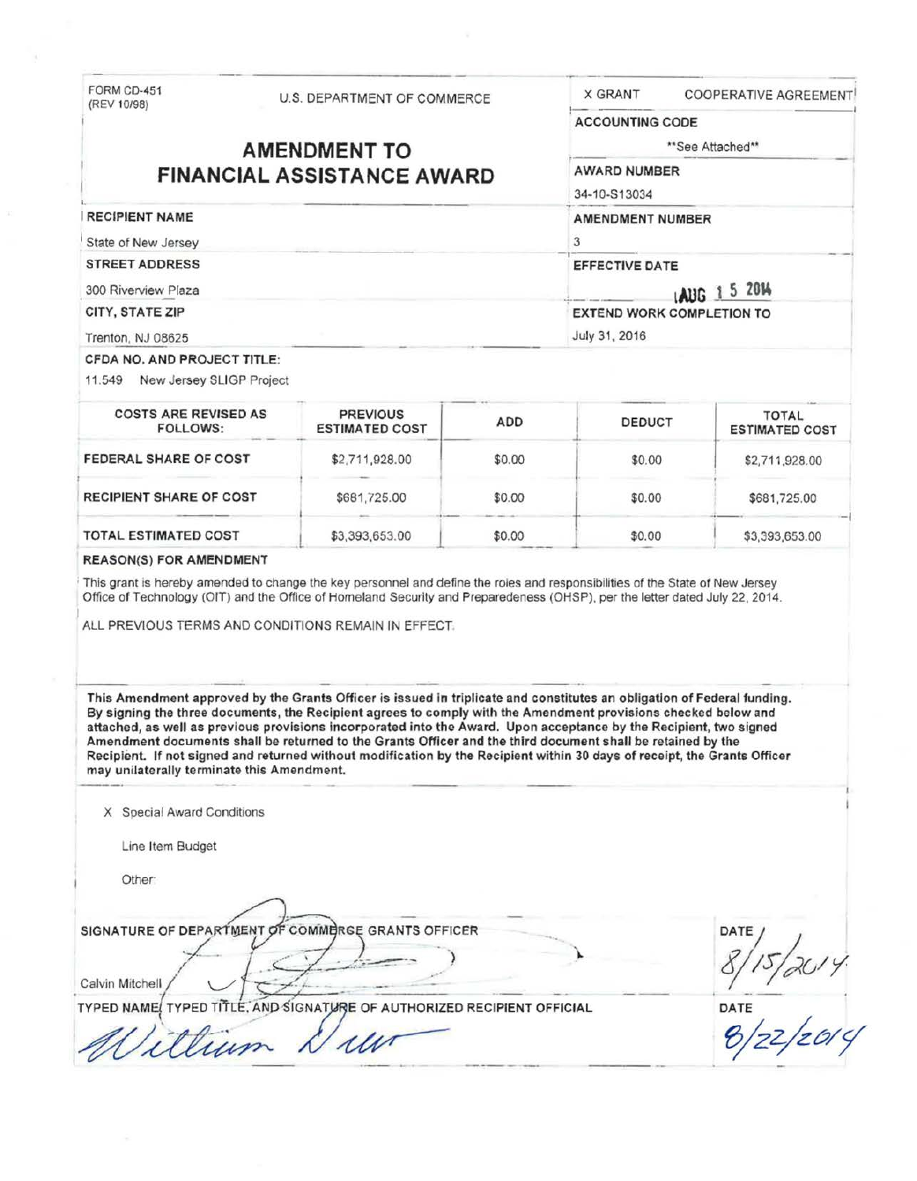FORM CD-451<br>(REV 10/98)

RECIPIENT NAME State of New Jersey STREET ADDRESS 300 Riverview Plaza CITY, STATE ZIP Trenton, NJ 08625

 $\mathbf{L}$ 

U.S. DEPARTMENT OF COMMERCE

# **AMENDMENT TO FINANCIAL ASSISTANCE AWARD**

\*\* See Attached\*\*

X GRANT COOPERATIVE AGREEMENT

AWARD NUMBER

ACCOUNTING CODE

34-10-S13034

AMENDMENT NUMBER 3

3<br>EFFECTIVE DATE

lAUG **1 5 2014**  EXTEND WORK COMPLETION TO July 31, 2016

#### CFOA NO. AND PROJECT TITLE:

11 .549 New Jersey SLIGP Project

| <b>COSTS ARE REVISED AS</b><br>FOLLOWS: | <b>PREVIOUS</b><br><b>ESTIMATED COST</b> | <b>ADD</b> | <b>DEDUCT</b> | <b>TOTAL</b><br><b>ESTIMATED COST</b> |
|-----------------------------------------|------------------------------------------|------------|---------------|---------------------------------------|
| FEDERAL SHARE OF COST                   | \$2,711,928.00                           | \$0.00     | \$0.00        | \$2,711,928.00                        |
| <b>RECIPIENT SHARE OF COST</b>          | \$681,725.00                             | \$0.00     | \$0.00        | \$681,725.00                          |
| TOTAL ESTIMATED COST                    | \$3,393,653.00                           | \$0.00     | \$0.00        | \$3,393,653.00                        |

#### REASON(S) FOR AMENDMENT

This grant is hereby amended to change the key personnel and define the roles and responsibilities of the State of New Jersey Office of Technology (OIT) and the Office of Homeland Security and Preparedeness (OHSP), per the letter dated July 22, 2014.

ALL PREVIOUS TERMS AND CONDITIONS REMAIN IN EFFECT.

This Amendment approved by the Grants Officer is issued in triplicate and constitutes an obligation of Federal funding. By signing the three documents , the Recipient agrees to comply with the Amendment provisions checked below and attached, as well as previous provisions incorporated into the Award. Upon acceptance by the Recipient, two signed Amendment documents shall be returned to the Grants Officer and the third document shall be retained by the Recipient. If not signed and returned without modification by the Recipient within 30 days of receipt, the Grants Officer may unilaterally terminate this Amendment.

X Special Award Conditions

Line Item Budget

Other·

SIGNATURE OF DEPAR'T~ENT -~RGE GRANTS O~F ER *7 -* . c:\_\_;t\_:-2~ .-· ) <sup>~</sup>. Calvin tchel~/ \..\_.../ 'C :r:S - \_ \_ \_ - \_\_ \_ \_

8/15/2014<br>DATE<br>B/72/2014

TYPED NAME! TYPED TITLE, AND SIGNATURE OF AUTHORIZED RECIPIENT OFFICIAL Calvin Mitchell<br>TYPED NAME TYPED TITLE. AND SIGNATURE OF AUTHORIZED RECIPIENT OFFIC TYPED TITLE, AND SIGNATURE OF AUTHORIZED RECIPIENT OFFICIAL **Example 2** DATE